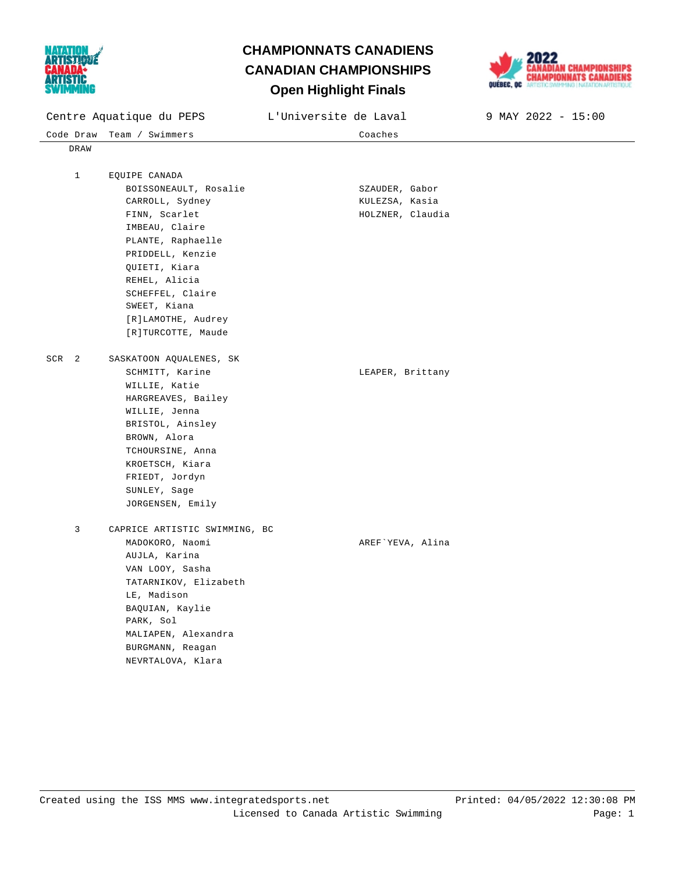

## **Open Highlight Finals CHAMPIONNATS CANADIENS CANADIAN CHAMPIONSHIPS**



| Centre Aquatique du PEPS |                               | L'Universite de Laval | 9 MAY 2022 - 15:00 |
|--------------------------|-------------------------------|-----------------------|--------------------|
| Code Draw                | Team / Swimmers               | Coaches               |                    |
| DRAW                     |                               |                       |                    |
|                          |                               |                       |                    |
| $\mathbf 1$              | EQUIPE CANADA                 |                       |                    |
|                          | BOISSONEAULT, Rosalie         | SZAUDER, Gabor        |                    |
|                          | CARROLL, Sydney               | KULEZSA, Kasia        |                    |
|                          | FINN, Scarlet                 | HOLZNER, Claudia      |                    |
|                          | IMBEAU, Claire                |                       |                    |
|                          | PLANTE, Raphaelle             |                       |                    |
|                          | PRIDDELL, Kenzie              |                       |                    |
|                          | QUIETI, Kiara                 |                       |                    |
|                          | REHEL, Alicia                 |                       |                    |
|                          | SCHEFFEL, Claire              |                       |                    |
|                          | SWEET, Kiana                  |                       |                    |
|                          | [R]LAMOTHE, Audrey            |                       |                    |
|                          | [R]TURCOTTE, Maude            |                       |                    |
| SCR <sub>2</sub>         | SASKATOON AQUALENES, SK       |                       |                    |
|                          | SCHMITT, Karine               | LEAPER, Brittany      |                    |
|                          | WILLIE, Katie                 |                       |                    |
|                          | HARGREAVES, Bailey            |                       |                    |
|                          | WILLIE, Jenna                 |                       |                    |
|                          | BRISTOL, Ainsley              |                       |                    |
|                          | BROWN, Alora                  |                       |                    |
|                          | TCHOURSINE, Anna              |                       |                    |
|                          | KROETSCH, Kiara               |                       |                    |
|                          | FRIEDT, Jordyn                |                       |                    |
|                          | SUNLEY, Sage                  |                       |                    |
|                          | JORGENSEN, Emily              |                       |                    |
|                          |                               |                       |                    |
| 3                        | CAPRICE ARTISTIC SWIMMING, BC |                       |                    |
|                          | MADOKORO, Naomi               | AREF`YEVA, Alina      |                    |
|                          | AUJLA, Karina                 |                       |                    |
|                          | VAN LOOY, Sasha               |                       |                    |
|                          | TATARNIKOV, Elizabeth         |                       |                    |
|                          | LE, Madison                   |                       |                    |
|                          | BAQUIAN, Kaylie               |                       |                    |
|                          | PARK, Sol                     |                       |                    |
|                          | MALIAPEN, Alexandra           |                       |                    |
|                          | BURGMANN, Reagan              |                       |                    |
|                          | NEVRTALOVA, Klara             |                       |                    |
|                          |                               |                       |                    |